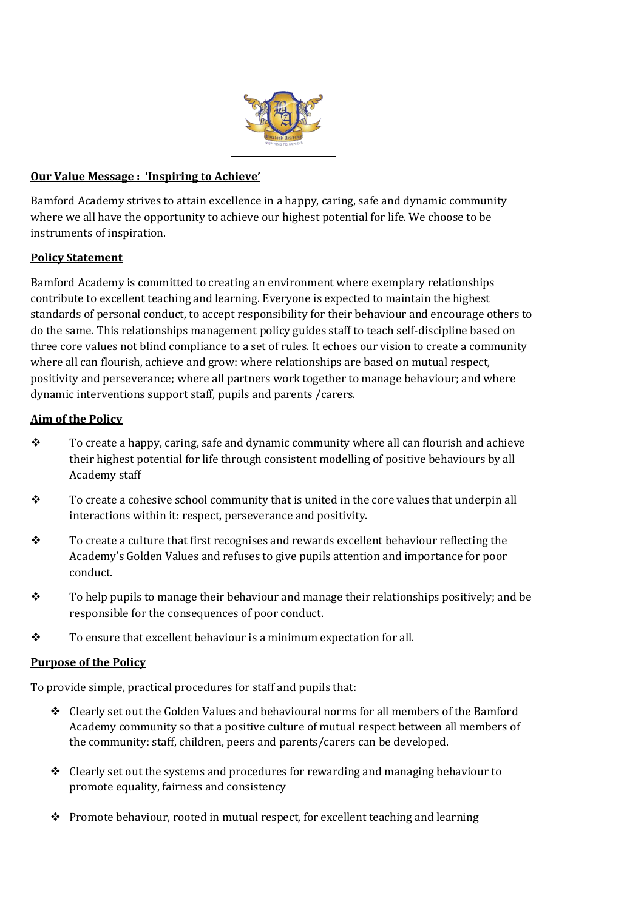

### **Our Value Message : 'Inspiring to Achieve'**

Bamford Academy strives to attain excellence in a happy, caring, safe and dynamic community where we all have the opportunity to achieve our highest potential for life. We choose to be instruments of inspiration.

### **Policy Statement**

Bamford Academy is committed to creating an environment where exemplary relationships contribute to excellent teaching and learning. Everyone is expected to maintain the highest standards of personal conduct, to accept responsibility for their behaviour and encourage others to do the same. This relationships management policy guides staff to teach self-discipline based on three core values not blind compliance to a set of rules. It echoes our vision to create a community where all can flourish, achieve and grow: where relationships are based on mutual respect, positivity and perseverance; where all partners work together to manage behaviour; and where dynamic interventions support staff, pupils and parents /carers.

### **Aim of the Policy**

- \* To create a happy, caring, safe and dynamic community where all can flourish and achieve their highest potential for life through consistent modelling of positive behaviours by all Academy staff
- $\mathbf{\hat{P}}$  To create a cohesive school community that is united in the core values that underpin all interactions within it: respect, perseverance and positivity.
- $\mathbf{\hat{P}}$  To create a culture that first recognises and rewards excellent behaviour reflecting the Academy's Golden Values and refuses to give pupils attention and importance for poor conduct.
- $\div$  To help pupils to manage their behaviour and manage their relationships positively; and be responsible for the consequences of poor conduct.
- \* To ensure that excellent behaviour is a minimum expectation for all.

#### **Purpose of the Policy**

To provide simple, practical procedures for staff and pupils that:

- Clearly set out the Golden Values and behavioural norms for all members of the Bamford Academy community so that a positive culture of mutual respect between all members of the community: staff, children, peers and parents/carers can be developed.
- $\triangle$  Clearly set out the systems and procedures for rewarding and managing behaviour to promote equality, fairness and consistency
- **Promote behaviour, rooted in mutual respect, for excellent teaching and learning**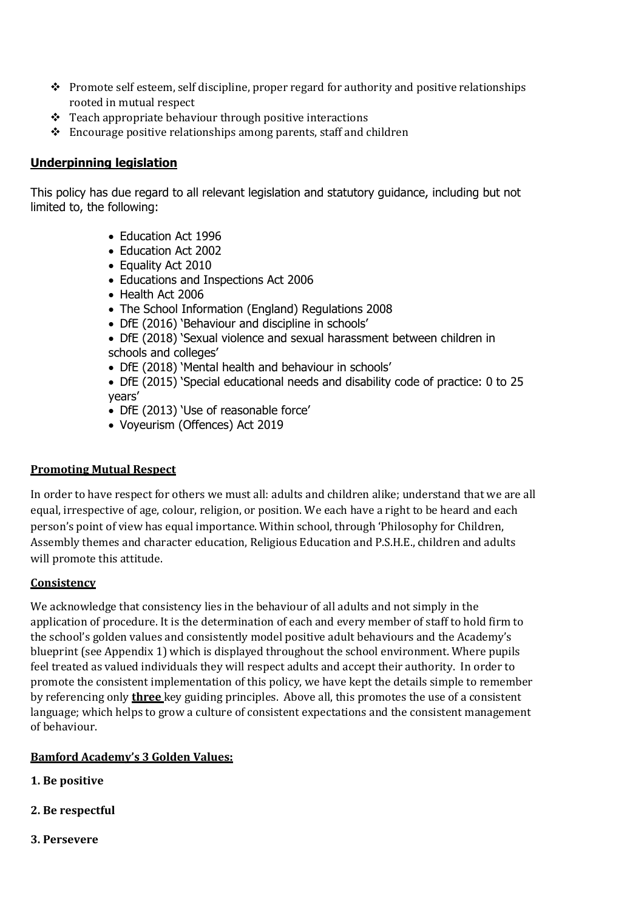- $\bullet$  Promote self esteem, self discipline, proper regard for authority and positive relationships rooted in mutual respect
- $\div$  Teach appropriate behaviour through positive interactions
- Encourage positive relationships among parents, staff and children

### **Underpinning legislation**

This policy has due regard to all relevant legislation and statutory guidance, including but not limited to, the following:

- Education Act 1996
- Education Act 2002
- Equality Act 2010
- Educations and Inspections Act 2006
- Health Act 2006
- The School Information (England) Regulations 2008
- DfE (2016) 'Behaviour and discipline in schools'
- DfE (2018) 'Sexual violence and sexual harassment between children in schools and colleges'
- DfE (2018) 'Mental health and behaviour in schools'
- DfE (2015) 'Special educational needs and disability code of practice: 0 to 25 years'
- DfE (2013) 'Use of reasonable force'
- Voyeurism (Offences) Act 2019

#### **Promoting Mutual Respect**

In order to have respect for others we must all: adults and children alike; understand that we are all equal, irrespective of age, colour, religion, or position. We each have a right to be heard and each person's point of view has equal importance. Within school, through 'Philosophy for Children, Assembly themes and character education, Religious Education and P.S.H.E., children and adults will promote this attitude.

#### **Consistency**

We acknowledge that consistency lies in the behaviour of all adults and not simply in the application of procedure. It is the determination of each and every member of staff to hold firm to the school's golden values and consistently model positive adult behaviours and the Academy's blueprint (see Appendix 1) which is displayed throughout the school environment. Where pupils feel treated as valued individuals they will respect adults and accept their authority. In order to promote the consistent implementation of this policy, we have kept the details simple to remember by referencing only **three** key guiding principles. Above all, this promotes the use of a consistent language; which helps to grow a culture of consistent expectations and the consistent management of behaviour.

#### **Bamford Academy's 3 Golden Values:**

- **1. Be positive**
- **2. Be respectful**
- **3. Persevere**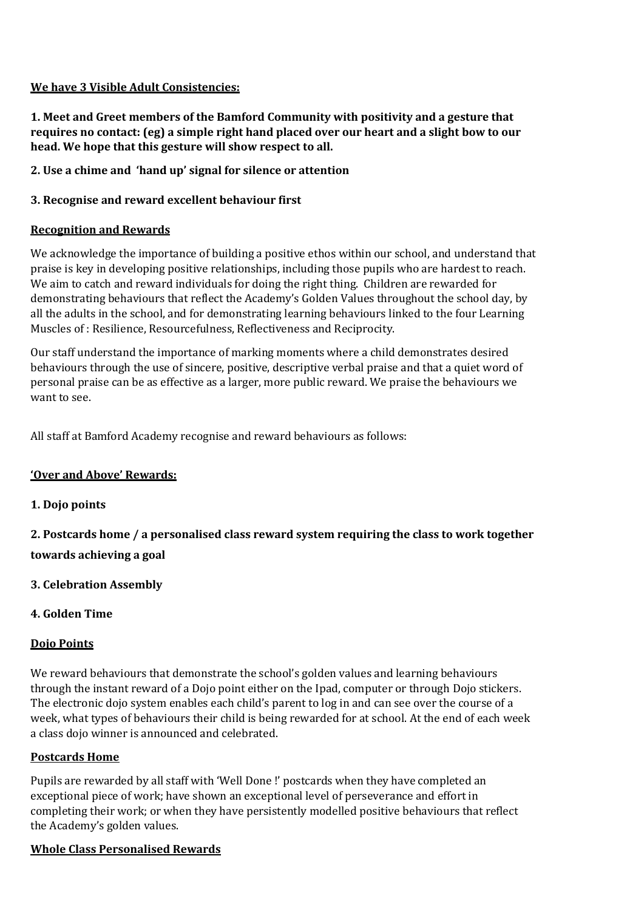### **We have 3 Visible Adult Consistencies:**

**1. Meet and Greet members of the Bamford Community with positivity and a gesture that requires no contact: (eg) a simple right hand placed over our heart and a slight bow to our head. We hope that this gesture will show respect to all.** 

**2. Use a chime and 'hand up' signal for silence or attention**

### **3. Recognise and reward excellent behaviour first**

### **Recognition and Rewards**

We acknowledge the importance of building a positive ethos within our school, and understand that praise is key in developing positive relationships, including those pupils who are hardest to reach. We aim to catch and reward individuals for doing the right thing. Children are rewarded for demonstrating behaviours that reflect the Academy's Golden Values throughout the school day, by all the adults in the school, and for demonstrating learning behaviours linked to the four Learning Muscles of : Resilience, Resourcefulness, Reflectiveness and Reciprocity.

Our staff understand the importance of marking moments where a child demonstrates desired behaviours through the use of sincere, positive, descriptive verbal praise and that a quiet word of personal praise can be as effective as a larger, more public reward. We praise the behaviours we want to see.

All staff at Bamford Academy recognise and reward behaviours as follows:

#### **'Over and Above' Rewards:**

#### **1. Dojo points**

**2. Postcards home / a personalised class reward system requiring the class to work together towards achieving a goal**

**3. Celebration Assembly**

## **4. Golden Time**

#### **Dojo Points**

We reward behaviours that demonstrate the school's golden values and learning behaviours through the instant reward of a Dojo point either on the Ipad, computer or through Dojo stickers. The electronic dojo system enables each child's parent to log in and can see over the course of a week, what types of behaviours their child is being rewarded for at school. At the end of each week a class dojo winner is announced and celebrated.

#### **Postcards Home**

Pupils are rewarded by all staff with 'Well Done !' postcards when they have completed an exceptional piece of work; have shown an exceptional level of perseverance and effort in completing their work; or when they have persistently modelled positive behaviours that reflect the Academy's golden values.

## **Whole Class Personalised Rewards**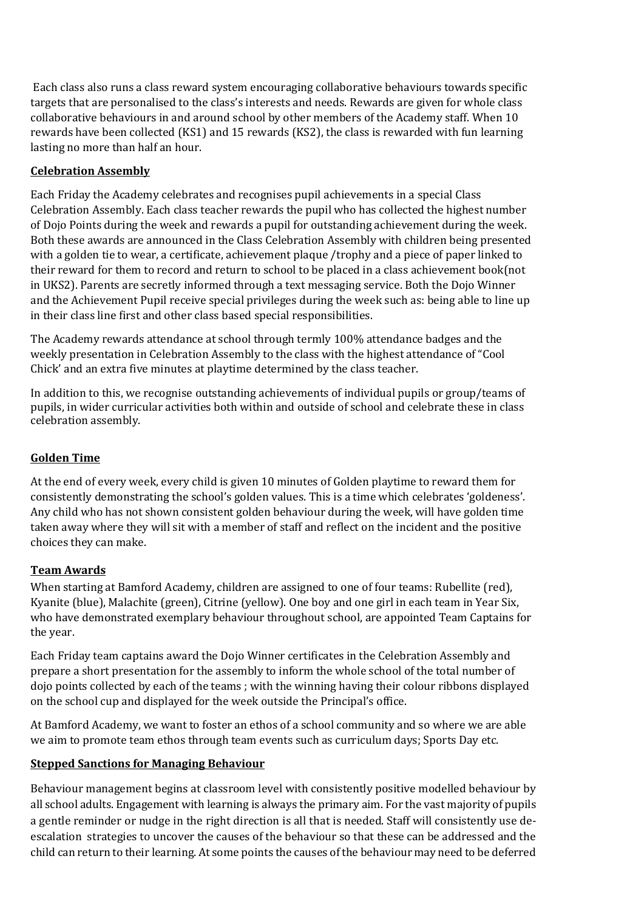Each class also runs a class reward system encouraging collaborative behaviours towards specific targets that are personalised to the class's interests and needs. Rewards are given for whole class collaborative behaviours in and around school by other members of the Academy staff. When 10 rewards have been collected (KS1) and 15 rewards (KS2), the class is rewarded with fun learning lasting no more than half an hour.

# **Celebration Assembly**

Each Friday the Academy celebrates and recognises pupil achievements in a special Class Celebration Assembly. Each class teacher rewards the pupil who has collected the highest number of Dojo Points during the week and rewards a pupil for outstanding achievement during the week. Both these awards are announced in the Class Celebration Assembly with children being presented with a golden tie to wear, a certificate, achievement plaque /trophy and a piece of paper linked to their reward for them to record and return to school to be placed in a class achievement book(not in UKS2). Parents are secretly informed through a text messaging service. Both the Dojo Winner and the Achievement Pupil receive special privileges during the week such as: being able to line up in their class line first and other class based special responsibilities.

The Academy rewards attendance at school through termly 100% attendance badges and the weekly presentation in Celebration Assembly to the class with the highest attendance of "Cool Chick' and an extra five minutes at playtime determined by the class teacher.

In addition to this, we recognise outstanding achievements of individual pupils or group/teams of pupils, in wider curricular activities both within and outside of school and celebrate these in class celebration assembly.

# **Golden Time**

At the end of every week, every child is given 10 minutes of Golden playtime to reward them for consistently demonstrating the school's golden values. This is a time which celebrates 'goldeness'. Any child who has not shown consistent golden behaviour during the week, will have golden time taken away where they will sit with a member of staff and reflect on the incident and the positive choices they can make.

## **Team Awards**

When starting at Bamford Academy, children are assigned to one of four teams: Rubellite (red), Kyanite (blue), Malachite (green), Citrine (yellow). One boy and one girl in each team in Year Six, who have demonstrated exemplary behaviour throughout school, are appointed Team Captains for the year.

Each Friday team captains award the Dojo Winner certificates in the Celebration Assembly and prepare a short presentation for the assembly to inform the whole school of the total number of dojo points collected by each of the teams ; with the winning having their colour ribbons displayed on the school cup and displayed for the week outside the Principal's office.

At Bamford Academy, we want to foster an ethos of a school community and so where we are able we aim to promote team ethos through team events such as curriculum days; Sports Day etc.

#### **Stepped Sanctions for Managing Behaviour**

Behaviour management begins at classroom level with consistently positive modelled behaviour by all school adults. Engagement with learning is always the primary aim. For the vast majority of pupils a gentle reminder or nudge in the right direction is all that is needed. Staff will consistently use deescalation strategies to uncover the causes of the behaviour so that these can be addressed and the child can return to their learning. At some points the causes of the behaviour may need to be deferred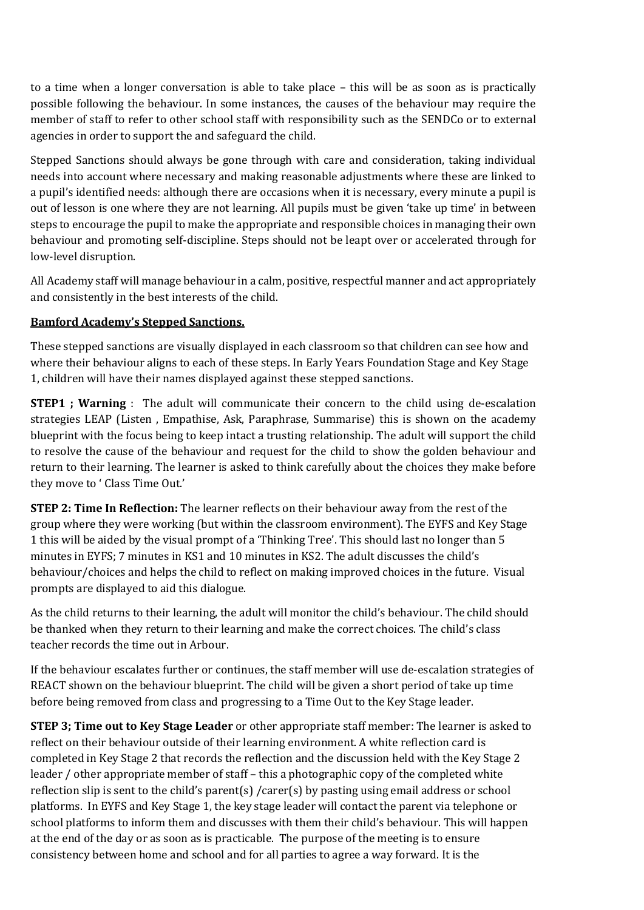to a time when a longer conversation is able to take place – this will be as soon as is practically possible following the behaviour. In some instances, the causes of the behaviour may require the member of staff to refer to other school staff with responsibility such as the SENDCo or to external agencies in order to support the and safeguard the child.

Stepped Sanctions should always be gone through with care and consideration, taking individual needs into account where necessary and making reasonable adjustments where these are linked to a pupil's identified needs: although there are occasions when it is necessary, every minute a pupil is out of lesson is one where they are not learning. All pupils must be given 'take up time' in between steps to encourage the pupil to make the appropriate and responsible choices in managing their own behaviour and promoting self-discipline. Steps should not be leapt over or accelerated through for low-level disruption.

All Academy staff will manage behaviour in a calm, positive, respectful manner and act appropriately and consistently in the best interests of the child.

## **Bamford Academy's Stepped Sanctions.**

These stepped sanctions are visually displayed in each classroom so that children can see how and where their behaviour aligns to each of these steps. In Early Years Foundation Stage and Key Stage 1, children will have their names displayed against these stepped sanctions.

**STEP1 ; Warning** : The adult will communicate their concern to the child using de-escalation strategies LEAP (Listen , Empathise, Ask, Paraphrase, Summarise) this is shown on the academy blueprint with the focus being to keep intact a trusting relationship. The adult will support the child to resolve the cause of the behaviour and request for the child to show the golden behaviour and return to their learning. The learner is asked to think carefully about the choices they make before they move to ' Class Time Out.'

**STEP 2: Time In Reflection:** The learner reflects on their behaviour away from the rest of the group where they were working (but within the classroom environment). The EYFS and Key Stage 1 this will be aided by the visual prompt of a 'Thinking Tree'. This should last no longer than 5 minutes in EYFS; 7 minutes in KS1 and 10 minutes in KS2. The adult discusses the child's behaviour/choices and helps the child to reflect on making improved choices in the future. Visual prompts are displayed to aid this dialogue.

As the child returns to their learning, the adult will monitor the child's behaviour. The child should be thanked when they return to their learning and make the correct choices. The child's class teacher records the time out in Arbour.

If the behaviour escalates further or continues, the staff member will use de-escalation strategies of REACT shown on the behaviour blueprint. The child will be given a short period of take up time before being removed from class and progressing to a Time Out to the Key Stage leader.

**STEP 3; Time out to Key Stage Leader** or other appropriate staff member: The learner is asked to reflect on their behaviour outside of their learning environment. A white reflection card is completed in Key Stage 2 that records the reflection and the discussion held with the Key Stage 2 leader / other appropriate member of staff – this a photographic copy of the completed white reflection slip is sent to the child's parent(s) /carer(s) by pasting using email address or school platforms. In EYFS and Key Stage 1, the key stage leader will contact the parent via telephone or school platforms to inform them and discusses with them their child's behaviour. This will happen at the end of the day or as soon as is practicable. The purpose of the meeting is to ensure consistency between home and school and for all parties to agree a way forward. It is the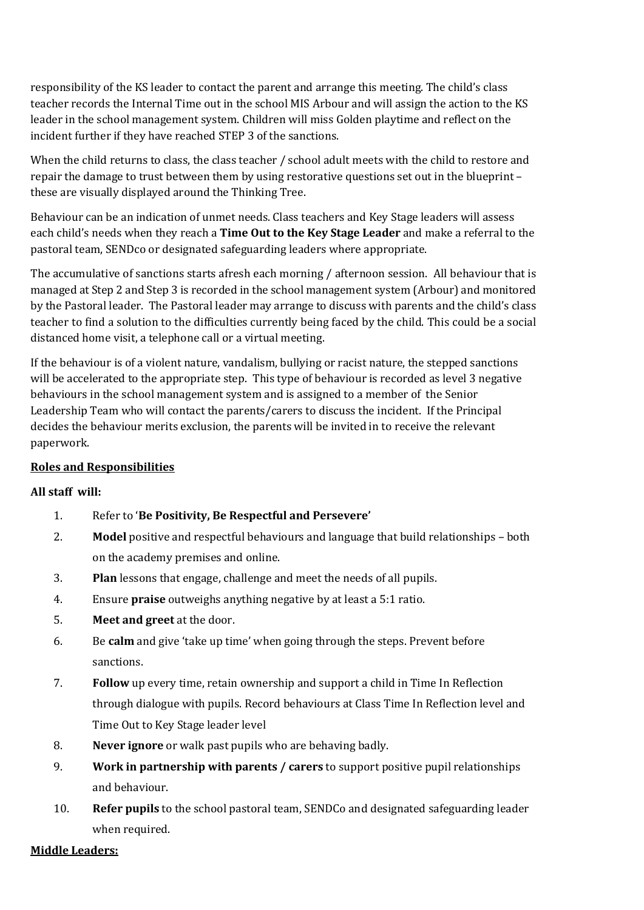responsibility of the KS leader to contact the parent and arrange this meeting. The child's class teacher records the Internal Time out in the school MIS Arbour and will assign the action to the KS leader in the school management system. Children will miss Golden playtime and reflect on the incident further if they have reached STEP 3 of the sanctions.

When the child returns to class, the class teacher / school adult meets with the child to restore and repair the damage to trust between them by using restorative questions set out in the blueprint – these are visually displayed around the Thinking Tree.

Behaviour can be an indication of unmet needs. Class teachers and Key Stage leaders will assess each child's needs when they reach a **Time Out to the Key Stage Leader** and make a referral to the pastoral team, SENDco or designated safeguarding leaders where appropriate.

The accumulative of sanctions starts afresh each morning / afternoon session. All behaviour that is managed at Step 2 and Step 3 is recorded in the school management system (Arbour) and monitored by the Pastoral leader. The Pastoral leader may arrange to discuss with parents and the child's class teacher to find a solution to the difficulties currently being faced by the child. This could be a social distanced home visit, a telephone call or a virtual meeting.

If the behaviour is of a violent nature, vandalism, bullying or racist nature, the stepped sanctions will be accelerated to the appropriate step. This type of behaviour is recorded as level 3 negative behaviours in the school management system and is assigned to a member of the Senior Leadership Team who will contact the parents/carers to discuss the incident. If the Principal decides the behaviour merits exclusion, the parents will be invited in to receive the relevant paperwork.

## **Roles and Responsibilities**

## **All staff will:**

- 1. Refer to '**Be Positivity, Be Respectful and Persevere'**
- 2. **Model** positive and respectful behaviours and language that build relationships both on the academy premises and online.
- 3. **Plan** lessons that engage, challenge and meet the needs of all pupils.
- 4. Ensure **praise** outweighs anything negative by at least a 5:1 ratio.
- 5. **Meet and greet** at the door.
- 6. Be **calm** and give 'take up time' when going through the steps. Prevent before sanctions.
- 7. **Follow** up every time, retain ownership and support a child in Time In Reflection through dialogue with pupils. Record behaviours at Class Time In Reflection level and Time Out to Key Stage leader level
- 8. **Never ignore** or walk past pupils who are behaving badly.
- 9. **Work in partnership with parents / carers** to support positive pupil relationships and behaviour.
- 10. **Refer pupils** to the school pastoral team, SENDCo and designated safeguarding leader when required.

#### **Middle Leaders:**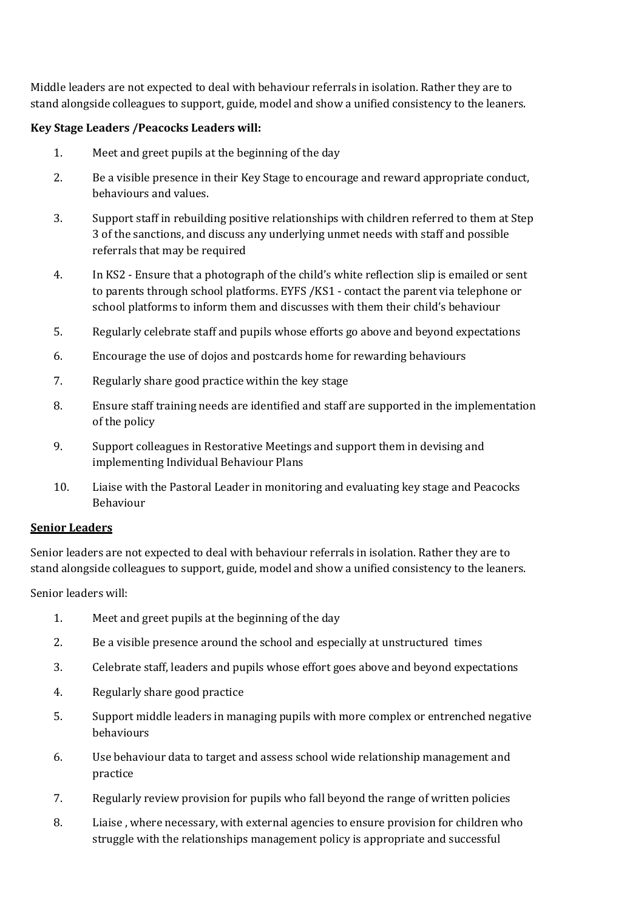Middle leaders are not expected to deal with behaviour referrals in isolation. Rather they are to stand alongside colleagues to support, guide, model and show a unified consistency to the leaners.

### **Key Stage Leaders /Peacocks Leaders will:**

- 1. Meet and greet pupils at the beginning of the day
- 2. Be a visible presence in their Key Stage to encourage and reward appropriate conduct, behaviours and values.
- 3. Support staff in rebuilding positive relationships with children referred to them at Step 3 of the sanctions, and discuss any underlying unmet needs with staff and possible referrals that may be required
- 4. In KS2 Ensure that a photograph of the child's white reflection slip is emailed or sent to parents through school platforms. EYFS /KS1 - contact the parent via telephone or school platforms to inform them and discusses with them their child's behaviour
- 5. Regularly celebrate staff and pupils whose efforts go above and beyond expectations
- 6. Encourage the use of dojos and postcards home for rewarding behaviours
- 7. Regularly share good practice within the key stage
- 8. Ensure staff training needs are identified and staff are supported in the implementation of the policy
- 9. Support colleagues in Restorative Meetings and support them in devising and implementing Individual Behaviour Plans
- 10. Liaise with the Pastoral Leader in monitoring and evaluating key stage and Peacocks Behaviour

#### **Senior Leaders**

Senior leaders are not expected to deal with behaviour referrals in isolation. Rather they are to stand alongside colleagues to support, guide, model and show a unified consistency to the leaners.

Senior leaders will:

- 1. Meet and greet pupils at the beginning of the day
- 2. Be a visible presence around the school and especially at unstructured times
- 3. Celebrate staff, leaders and pupils whose effort goes above and beyond expectations
- 4. Regularly share good practice
- 5. Support middle leaders in managing pupils with more complex or entrenched negative behaviours
- 6. Use behaviour data to target and assess school wide relationship management and practice
- 7. Regularly review provision for pupils who fall beyond the range of written policies
- 8. Liaise , where necessary, with external agencies to ensure provision for children who struggle with the relationships management policy is appropriate and successful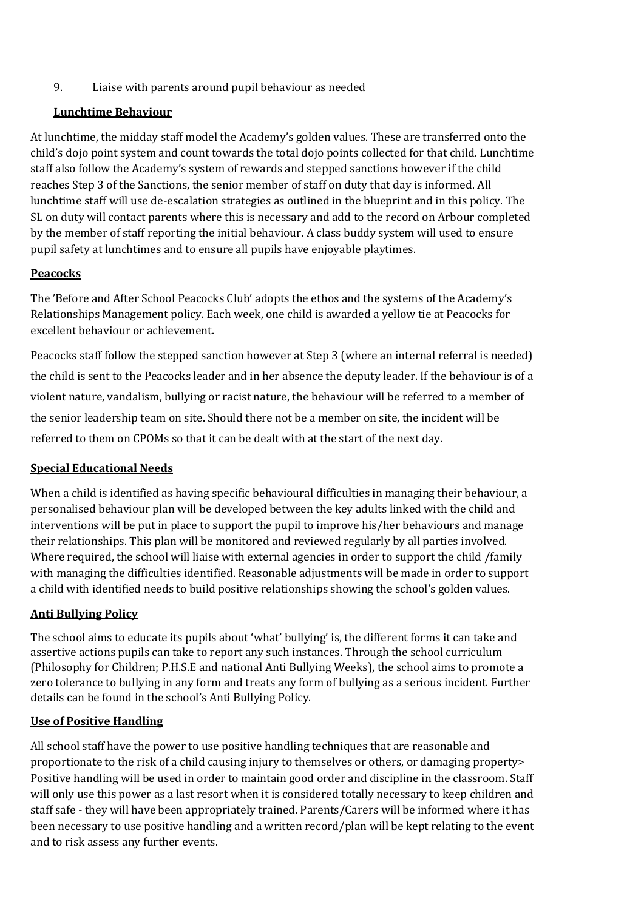9. Liaise with parents around pupil behaviour as needed

### **Lunchtime Behaviour**

At lunchtime, the midday staff model the Academy's golden values. These are transferred onto the child's dojo point system and count towards the total dojo points collected for that child. Lunchtime staff also follow the Academy's system of rewards and stepped sanctions however if the child reaches Step 3 of the Sanctions, the senior member of staff on duty that day is informed. All lunchtime staff will use de-escalation strategies as outlined in the blueprint and in this policy. The SL on duty will contact parents where this is necessary and add to the record on Arbour completed by the member of staff reporting the initial behaviour. A class buddy system will used to ensure pupil safety at lunchtimes and to ensure all pupils have enjoyable playtimes.

## **Peacocks**

The 'Before and After School Peacocks Club' adopts the ethos and the systems of the Academy's Relationships Management policy. Each week, one child is awarded a yellow tie at Peacocks for excellent behaviour or achievement.

Peacocks staff follow the stepped sanction however at Step 3 (where an internal referral is needed) the child is sent to the Peacocks leader and in her absence the deputy leader. If the behaviour is of a violent nature, vandalism, bullying or racist nature, the behaviour will be referred to a member of the senior leadership team on site. Should there not be a member on site, the incident will be referred to them on CPOMs so that it can be dealt with at the start of the next day.

## **Special Educational Needs**

When a child is identified as having specific behavioural difficulties in managing their behaviour, a personalised behaviour plan will be developed between the key adults linked with the child and interventions will be put in place to support the pupil to improve his/her behaviours and manage their relationships. This plan will be monitored and reviewed regularly by all parties involved. Where required, the school will liaise with external agencies in order to support the child /family with managing the difficulties identified. Reasonable adjustments will be made in order to support a child with identified needs to build positive relationships showing the school's golden values.

## **Anti Bullying Policy**

The school aims to educate its pupils about 'what' bullying' is, the different forms it can take and assertive actions pupils can take to report any such instances. Through the school curriculum (Philosophy for Children; P.H.S.E and national Anti Bullying Weeks), the school aims to promote a zero tolerance to bullying in any form and treats any form of bullying as a serious incident. Further details can be found in the school's Anti Bullying Policy.

## **Use of Positive Handling**

All school staff have the power to use positive handling techniques that are reasonable and proportionate to the risk of a child causing injury to themselves or others, or damaging property> Positive handling will be used in order to maintain good order and discipline in the classroom. Staff will only use this power as a last resort when it is considered totally necessary to keep children and staff safe - they will have been appropriately trained. Parents/Carers will be informed where it has been necessary to use positive handling and a written record/plan will be kept relating to the event and to risk assess any further events.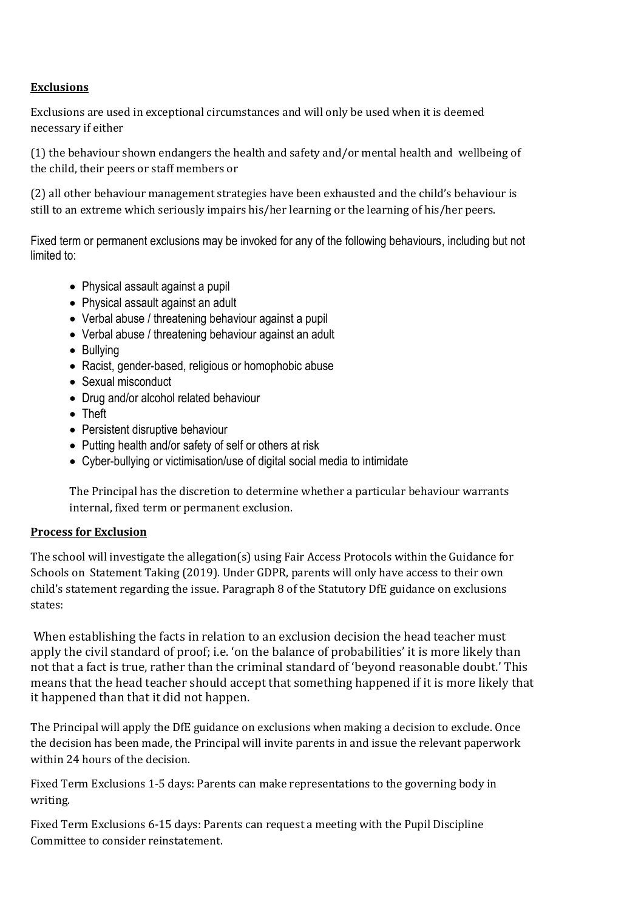## **Exclusions**

Exclusions are used in exceptional circumstances and will only be used when it is deemed necessary if either

(1) the behaviour shown endangers the health and safety and/or mental health and wellbeing of the child, their peers or staff members or

(2) all other behaviour management strategies have been exhausted and the child's behaviour is still to an extreme which seriously impairs his/her learning or the learning of his/her peers.

Fixed term or permanent exclusions may be invoked for any of the following behaviours, including but not limited to:

- Physical assault against a pupil
- Physical assault against an adult
- Verbal abuse / threatening behaviour against a pupil
- Verbal abuse / threatening behaviour against an adult
- Bullying
- Racist, gender-based, religious or homophobic abuse
- Sexual misconduct
- Drug and/or alcohol related behaviour
- Theft
- Persistent disruptive behaviour
- Putting health and/or safety of self or others at risk
- Cyber-bullying or victimisation/use of digital social media to intimidate

The Principal has the discretion to determine whether a particular behaviour warrants internal, fixed term or permanent exclusion.

### **Process for Exclusion**

The school will investigate the allegation(s) using Fair Access Protocols within the Guidance for Schools on Statement Taking (2019). Under GDPR, parents will only have access to their own child's statement regarding the issue. Paragraph 8 of the Statutory DfE guidance on exclusions states:

When establishing the facts in relation to an exclusion decision the head teacher must apply the civil standard of proof; i.e. 'on the balance of probabilities' it is more likely than not that a fact is true, rather than the criminal standard of 'beyond reasonable doubt.' This means that the head teacher should accept that something happened if it is more likely that it happened than that it did not happen.

The Principal will apply the DfE guidance on exclusions when making a decision to exclude. Once the decision has been made, the Principal will invite parents in and issue the relevant paperwork within 24 hours of the decision.

Fixed Term Exclusions 1-5 days: Parents can make representations to the governing body in writing.

Fixed Term Exclusions 6-15 days: Parents can request a meeting with the Pupil Discipline Committee to consider reinstatement.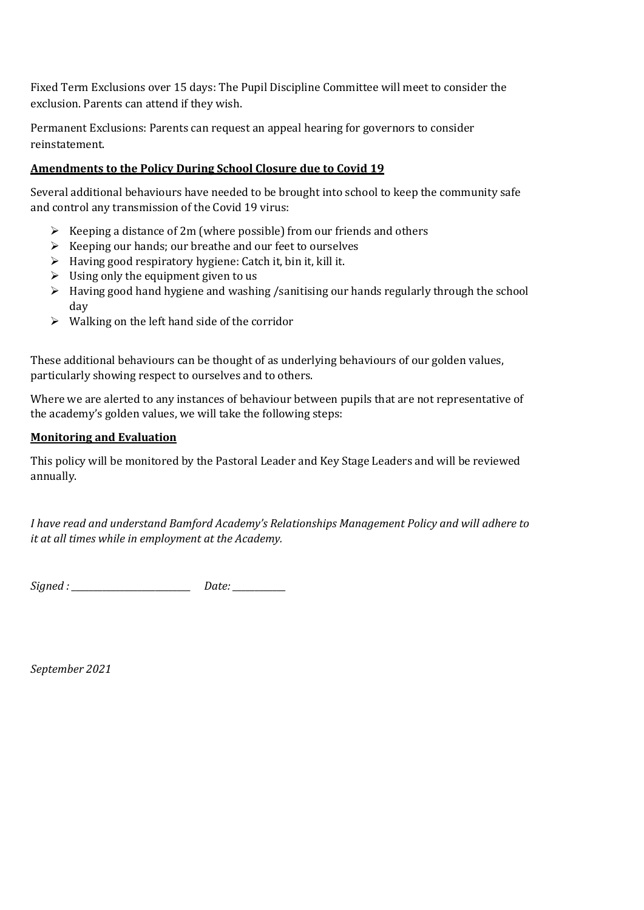Fixed Term Exclusions over 15 days: The Pupil Discipline Committee will meet to consider the exclusion. Parents can attend if they wish.

Permanent Exclusions: Parents can request an appeal hearing for governors to consider reinstatement.

### **Amendments to the Policy During School Closure due to Covid 19**

Several additional behaviours have needed to be brought into school to keep the community safe and control any transmission of the Covid 19 virus:

- $\triangleright$  Keeping a distance of 2m (where possible) from our friends and others
- $\triangleright$  Keeping our hands; our breathe and our feet to ourselves
- $\triangleright$  Having good respiratory hygiene: Catch it, bin it, kill it.
- $\triangleright$  Using only the equipment given to us
- $\triangleright$  Having good hand hygiene and washing /sanitising our hands regularly through the school day
- $\triangleright$  Walking on the left hand side of the corridor

These additional behaviours can be thought of as underlying behaviours of our golden values, particularly showing respect to ourselves and to others.

Where we are alerted to any instances of behaviour between pupils that are not representative of the academy's golden values, we will take the following steps:

#### **Monitoring and Evaluation**

This policy will be monitored by the Pastoral Leader and Key Stage Leaders and will be reviewed annually.

*I have read and understand Bamford Academy's Relationships Management Policy and will adhere to it at all times while in employment at the Academy.*

*Signed : \_\_\_\_\_\_\_\_\_\_\_\_\_\_\_\_\_\_\_\_\_\_\_\_\_\_\_ Date: \_\_\_\_\_\_\_\_\_\_\_\_*

*September 2021*